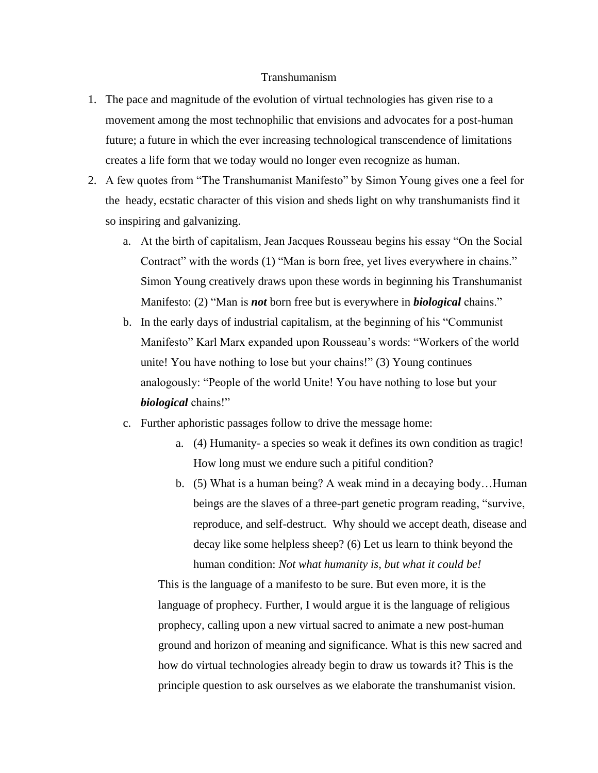## Transhumanism

- 1. The pace and magnitude of the evolution of virtual technologies has given rise to a movement among the most technophilic that envisions and advocates for a post-human future; a future in which the ever increasing technological transcendence of limitations creates a life form that we today would no longer even recognize as human.
- 2. A few quotes from "The Transhumanist Manifesto" by Simon Young gives one a feel for the heady, ecstatic character of this vision and sheds light on why transhumanists find it so inspiring and galvanizing.
	- a. At the birth of capitalism, Jean Jacques Rousseau begins his essay "On the Social Contract" with the words (1) "Man is born free, yet lives everywhere in chains." Simon Young creatively draws upon these words in beginning his Transhumanist Manifesto: (2) "Man is *not* born free but is everywhere in *biological* chains."
	- b. In the early days of industrial capitalism, at the beginning of his "Communist Manifesto" Karl Marx expanded upon Rousseau's words: "Workers of the world unite! You have nothing to lose but your chains!" (3) Young continues analogously: "People of the world Unite! You have nothing to lose but your *biological* chains!"
	- c. Further aphoristic passages follow to drive the message home:
		- a. (4) Humanity- a species so weak it defines its own condition as tragic! How long must we endure such a pitiful condition?
		- b. (5) What is a human being? A weak mind in a decaying body…Human beings are the slaves of a three-part genetic program reading, "survive, reproduce, and self-destruct. Why should we accept death, disease and decay like some helpless sheep? (6) Let us learn to think beyond the human condition: *Not what humanity is, but what it could be!*

This is the language of a manifesto to be sure. But even more, it is the language of prophecy. Further, I would argue it is the language of religious prophecy, calling upon a new virtual sacred to animate a new post-human ground and horizon of meaning and significance. What is this new sacred and how do virtual technologies already begin to draw us towards it? This is the principle question to ask ourselves as we elaborate the transhumanist vision.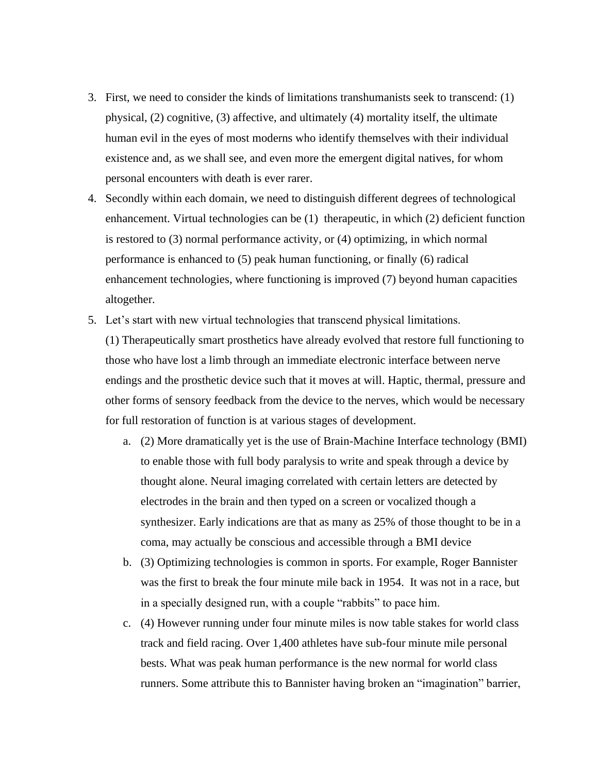- 3. First, we need to consider the kinds of limitations transhumanists seek to transcend: (1) physical, (2) cognitive, (3) affective, and ultimately (4) mortality itself, the ultimate human evil in the eyes of most moderns who identify themselves with their individual existence and, as we shall see, and even more the emergent digital natives, for whom personal encounters with death is ever rarer.
- 4. Secondly within each domain, we need to distinguish different degrees of technological enhancement. Virtual technologies can be (1) therapeutic, in which (2) deficient function is restored to (3) normal performance activity, or (4) optimizing, in which normal performance is enhanced to (5) peak human functioning, or finally (6) radical enhancement technologies, where functioning is improved (7) beyond human capacities altogether.
- 5. Let's start with new virtual technologies that transcend physical limitations. (1) Therapeutically smart prosthetics have already evolved that restore full functioning to those who have lost a limb through an immediate electronic interface between nerve endings and the prosthetic device such that it moves at will. Haptic, thermal, pressure and other forms of sensory feedback from the device to the nerves, which would be necessary for full restoration of function is at various stages of development.
	- a. (2) More dramatically yet is the use of Brain-Machine Interface technology (BMI) to enable those with full body paralysis to write and speak through a device by thought alone. Neural imaging correlated with certain letters are detected by electrodes in the brain and then typed on a screen or vocalized though a synthesizer. Early indications are that as many as 25% of those thought to be in a coma, may actually be conscious and accessible through a BMI device
	- b. (3) Optimizing technologies is common in sports. For example, Roger Bannister was the first to break the four minute mile back in 1954. It was not in a race, but in a specially designed run, with a couple "rabbits" to pace him.
	- c. (4) However running under four minute miles is now table stakes for world class track and field racing. Over 1,400 athletes have sub-four minute mile personal bests. What was peak human performance is the new normal for world class runners. Some attribute this to Bannister having broken an "imagination" barrier,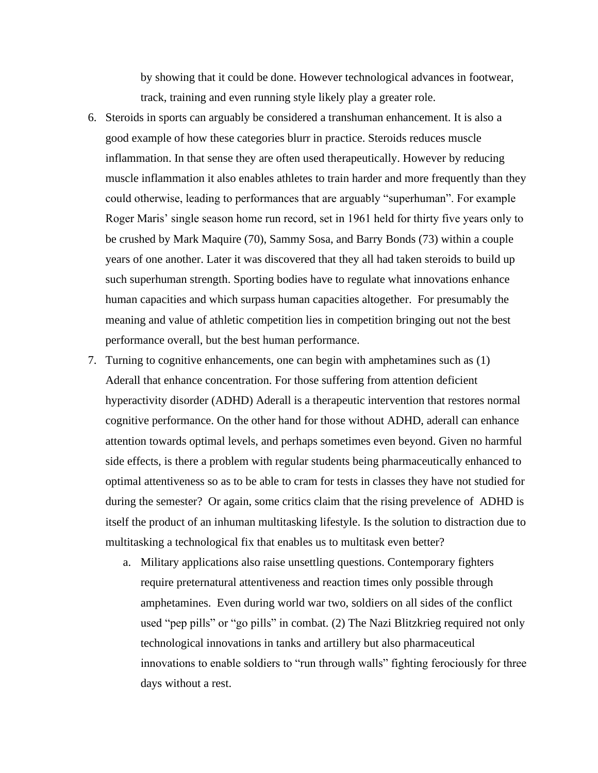by showing that it could be done. However technological advances in footwear, track, training and even running style likely play a greater role.

- 6. Steroids in sports can arguably be considered a transhuman enhancement. It is also a good example of how these categories blurr in practice. Steroids reduces muscle inflammation. In that sense they are often used therapeutically. However by reducing muscle inflammation it also enables athletes to train harder and more frequently than they could otherwise, leading to performances that are arguably "superhuman". For example Roger Maris' single season home run record, set in 1961 held for thirty five years only to be crushed by Mark Maquire (70), Sammy Sosa, and Barry Bonds (73) within a couple years of one another. Later it was discovered that they all had taken steroids to build up such superhuman strength. Sporting bodies have to regulate what innovations enhance human capacities and which surpass human capacities altogether. For presumably the meaning and value of athletic competition lies in competition bringing out not the best performance overall, but the best human performance.
- 7. Turning to cognitive enhancements, one can begin with amphetamines such as (1) Aderall that enhance concentration. For those suffering from attention deficient hyperactivity disorder (ADHD) Aderall is a therapeutic intervention that restores normal cognitive performance. On the other hand for those without ADHD, aderall can enhance attention towards optimal levels, and perhaps sometimes even beyond. Given no harmful side effects, is there a problem with regular students being pharmaceutically enhanced to optimal attentiveness so as to be able to cram for tests in classes they have not studied for during the semester? Or again, some critics claim that the rising prevelence of ADHD is itself the product of an inhuman multitasking lifestyle. Is the solution to distraction due to multitasking a technological fix that enables us to multitask even better?
	- a. Military applications also raise unsettling questions. Contemporary fighters require preternatural attentiveness and reaction times only possible through amphetamines. Even during world war two, soldiers on all sides of the conflict used "pep pills" or "go pills" in combat. (2) The Nazi Blitzkrieg required not only technological innovations in tanks and artillery but also pharmaceutical innovations to enable soldiers to "run through walls" fighting ferociously for three days without a rest.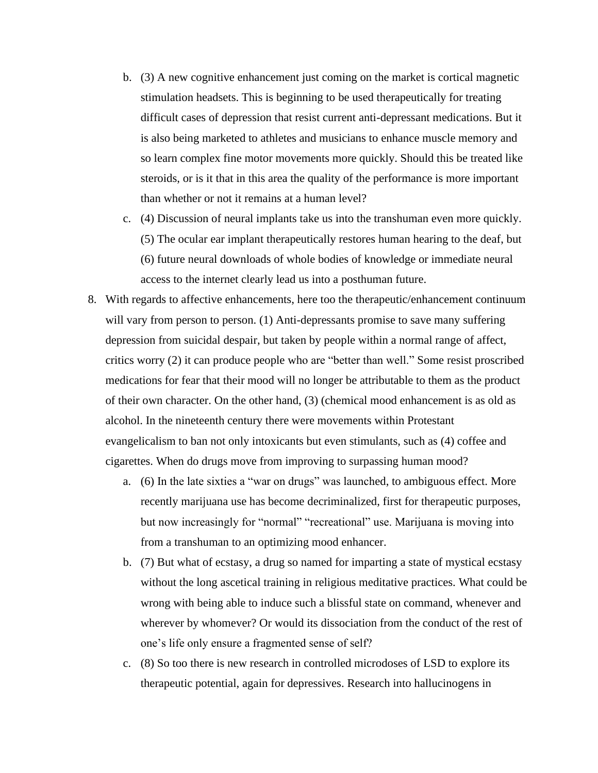- b. (3) A new cognitive enhancement just coming on the market is cortical magnetic stimulation headsets. This is beginning to be used therapeutically for treating difficult cases of depression that resist current anti-depressant medications. But it is also being marketed to athletes and musicians to enhance muscle memory and so learn complex fine motor movements more quickly. Should this be treated like steroids, or is it that in this area the quality of the performance is more important than whether or not it remains at a human level?
- c. (4) Discussion of neural implants take us into the transhuman even more quickly. (5) The ocular ear implant therapeutically restores human hearing to the deaf, but (6) future neural downloads of whole bodies of knowledge or immediate neural access to the internet clearly lead us into a posthuman future.
- 8. With regards to affective enhancements, here too the therapeutic/enhancement continuum will vary from person to person. (1) Anti-depressants promise to save many suffering depression from suicidal despair, but taken by people within a normal range of affect, critics worry (2) it can produce people who are "better than well." Some resist proscribed medications for fear that their mood will no longer be attributable to them as the product of their own character. On the other hand, (3) (chemical mood enhancement is as old as alcohol. In the nineteenth century there were movements within Protestant evangelicalism to ban not only intoxicants but even stimulants, such as (4) coffee and cigarettes. When do drugs move from improving to surpassing human mood?
	- a. (6) In the late sixties a "war on drugs" was launched, to ambiguous effect. More recently marijuana use has become decriminalized, first for therapeutic purposes, but now increasingly for "normal" "recreational" use. Marijuana is moving into from a transhuman to an optimizing mood enhancer.
	- b. (7) But what of ecstasy, a drug so named for imparting a state of mystical ecstasy without the long ascetical training in religious meditative practices. What could be wrong with being able to induce such a blissful state on command, whenever and wherever by whomever? Or would its dissociation from the conduct of the rest of one's life only ensure a fragmented sense of self?
	- c. (8) So too there is new research in controlled microdoses of LSD to explore its therapeutic potential, again for depressives. Research into hallucinogens in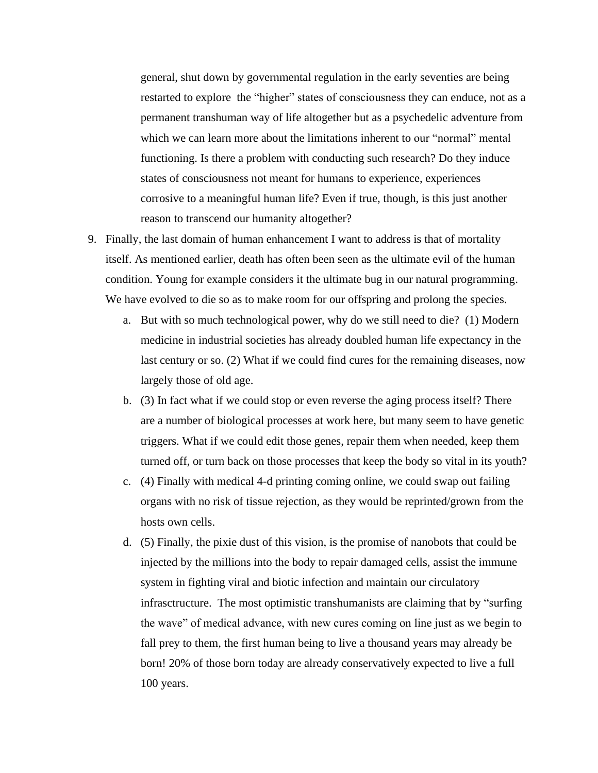general, shut down by governmental regulation in the early seventies are being restarted to explore the "higher" states of consciousness they can enduce, not as a permanent transhuman way of life altogether but as a psychedelic adventure from which we can learn more about the limitations inherent to our "normal" mental functioning. Is there a problem with conducting such research? Do they induce states of consciousness not meant for humans to experience, experiences corrosive to a meaningful human life? Even if true, though, is this just another reason to transcend our humanity altogether?

- 9. Finally, the last domain of human enhancement I want to address is that of mortality itself. As mentioned earlier, death has often been seen as the ultimate evil of the human condition. Young for example considers it the ultimate bug in our natural programming. We have evolved to die so as to make room for our offspring and prolong the species.
	- a. But with so much technological power, why do we still need to die? (1) Modern medicine in industrial societies has already doubled human life expectancy in the last century or so. (2) What if we could find cures for the remaining diseases, now largely those of old age.
	- b. (3) In fact what if we could stop or even reverse the aging process itself? There are a number of biological processes at work here, but many seem to have genetic triggers. What if we could edit those genes, repair them when needed, keep them turned off, or turn back on those processes that keep the body so vital in its youth?
	- c. (4) Finally with medical 4-d printing coming online, we could swap out failing organs with no risk of tissue rejection, as they would be reprinted/grown from the hosts own cells.
	- d. (5) Finally, the pixie dust of this vision, is the promise of nanobots that could be injected by the millions into the body to repair damaged cells, assist the immune system in fighting viral and biotic infection and maintain our circulatory infrasctructure. The most optimistic transhumanists are claiming that by "surfing the wave" of medical advance, with new cures coming on line just as we begin to fall prey to them, the first human being to live a thousand years may already be born! 20% of those born today are already conservatively expected to live a full 100 years.